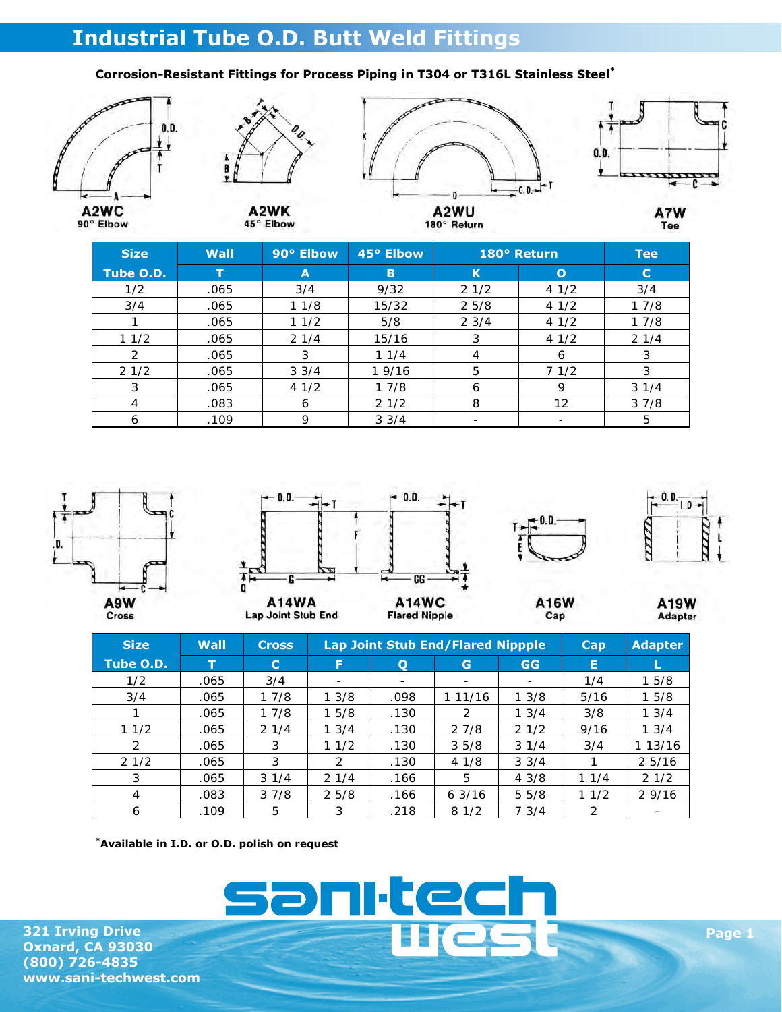## **Industrial Tube O.D. Butt Weld Fittings**

## **Corrosion-Resistant Fittings for Process Piping in T304 or T316L Stainless Steel\***









A2WU 180° Return A7W Tee

| <b>Size</b> | Wall | 90° Elbow       | 45° Elbow       |      | 180° Return  | <b>Tee</b>  |
|-------------|------|-----------------|-----------------|------|--------------|-------------|
| Tube O.D.   |      | A               | B               | К    | $\mathbf{o}$ | $\mathbf C$ |
| 1/2         | .065 | 3/4             | 9/32            | 21/2 | 41/2         | 3/4         |
| 3/4         | .065 | 11/8            | 15/32           | 25/8 | 41/2         | 17/8        |
|             | .065 | 11/2            | 5/8             | 23/4 | 41/2         | 17/8        |
| 11/2        | .065 | 21/4            | 15/16           | 3    | 41/2         | 21/4        |
| 2           | .065 | 3               | 11/4            | 4    | 6            | 3           |
| 21/2        | .065 | $3 \frac{3}{4}$ | 1 9/16          | 5    | 71/2         | 3           |
| 3           | .065 | 41/2            | 17/8            | 6    | 9            | 31/4        |
| 4           | .083 | 6               | 21/2            | 8    | 12           | 37/8        |
| 6           | .109 | 9               | $3 \frac{3}{4}$ |      |              | 5           |



| <b>Size</b> | Wall | <b>Cross</b> |               | <b>Lap Joint Stub End/Flared Nippple</b> | Cap                      | <b>Adapter</b>  |      |         |
|-------------|------|--------------|---------------|------------------------------------------|--------------------------|-----------------|------|---------|
| Tube O.D.   |      | C            | F             | Q                                        | G                        | <b>GG</b>       | Е    |         |
| 1/2         | .065 | 3/4          | ۰             | $\overline{\phantom{0}}$                 | $\overline{\phantom{0}}$ | -               | 1/4  | 15/8    |
| 3/4         | .065 | 17/8         | 13/8          | .098                                     | 1 11/16                  | 13/8            | 5/16 | 15/8    |
|             | .065 | 17/8         | 15/8          | .130                                     | $\mathcal{P}$            | 13/4            | 3/8  | 13/4    |
| 11/2        | .065 | 21/4         | 13/4          | .130                                     | 27/8                     | 21/2            | 9/16 | 1.3/4   |
| 2           | .065 | 3            | 11/2          | .130                                     | 35/8                     | 31/4            | 3/4  | 1 13/16 |
| 21/2        | .065 | 3            | $\mathcal{P}$ | .130                                     | 41/8                     | $3 \frac{3}{4}$ |      | 25/16   |
| 3           | .065 | 31/4         | 21/4          | .166                                     | 5                        | 43/8            | 11/4 | 21/2    |
| 4           | .083 | 37/8         | 25/8          | .166                                     | 63/16                    | 55/8            | 11/2 | 29/16   |
| 6           | .109 | 5            | 3             | .218                                     | 81/2                     | 7.3/4           | 2    | ۰       |

 $\Box$ 

ec

**\*Available in I.D. or O.D. polish on request** 

**321 Irving Drive Oxnard, CA 93030 (800) 726-4835 www.sani-techwest.com**